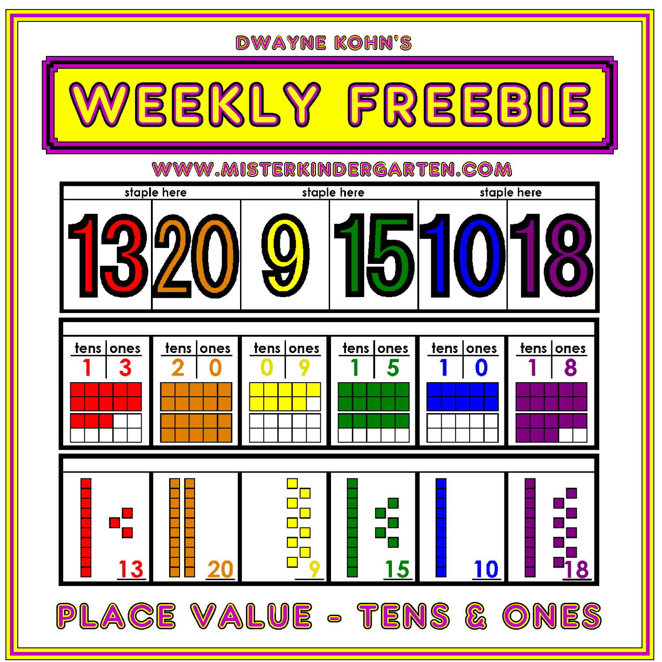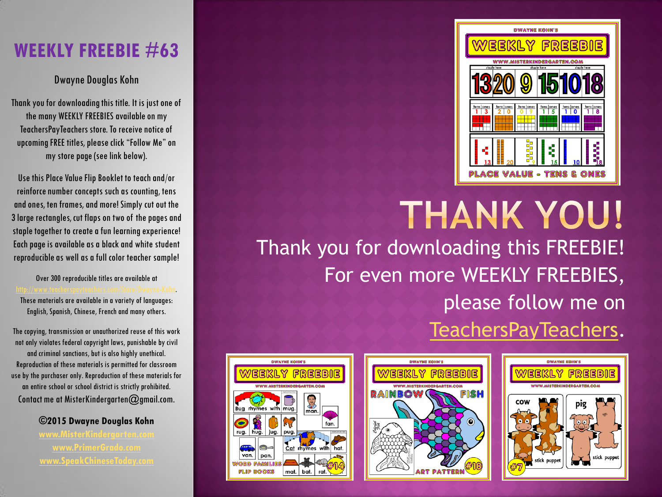## **WEEKLY FREEBIE #63**

## Dwayne Douglas Kohn

Thank you for downloading this title. It is just one of the many WEEKLY FREEBIES available on my TeachersPayTeachers store. To receive notice of upcoming FREE titles, please click "Follow Me" on my store page (see link below).

Use this Place Value Flip Booklet to teach and/or reinforce number concepts such as counting, tens and ones, ten frames, and more! Simply cut out the 3 large rectangles, cut flaps on two of the pages and staple together to create a fun learning experience! Each page is available as a black and white student reproducible as well as a full color teacher sample!

Over 300 reproducible titles are available at [http://www.teacherspayteachers.com/Store/Dwayne-Kohn.](http://www.teacherspayteachers.com/Store/Dwayne-Kohn) These materials are available in a variety of languages: English, Spanish, Chinese, French and many others.

The copying, transmission or unauthorized reuse of this work not only violates federal copyright laws, punishable by civil and criminal sanctions, but is also highly unethical. Reproduction of these materials is permitted for classroom use by the purchaser only. Reproduction of these materials for an entire school or school district is strictly prohibited. Contact me at MisterKindergarten@gmail.com.

> **©2015 Dwayne Douglas Kohn [www.MisterKindergarten.com](http://www.misterkindergarten.com/) [www.PrimerGrado.com](http://www.primergrado.com/) [www.SpeakChineseToday.com](http://www.speakchinesetoday.com/)**



**THANK YOU!** Thank you for downloading this FREEBIE! For even more WEEKLY FREEBIES, please follow me on [TeachersPayTeachers](http://www.teacherspayteachers.com/Store/Dwayne-Kohn).



*DWAYNE KOHN'S* 

with mug

mat.

jug. pug

pan. **FLIP BOOKS** 

**Bua** rhymes

rug. hug.

van.

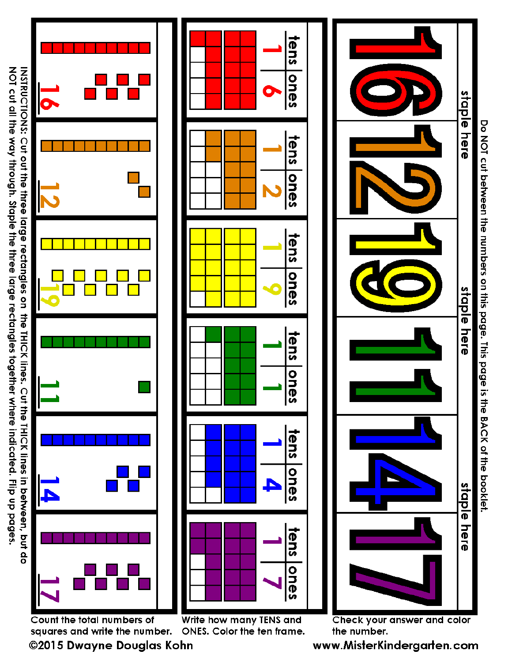NOT cut all the way through. Staple the three large rectangles together where indicated. INSTRUCTIONS: Cut out the three large rectangles on the THICK lines. Cut the THICK lines Flip up pages.





Write how many TENS and Count the total numbers of squares and write the number. ONES. Color the ten frame. ©2015 Dwayne Douglas Kohn

www.MisterKindergarten.com

the number.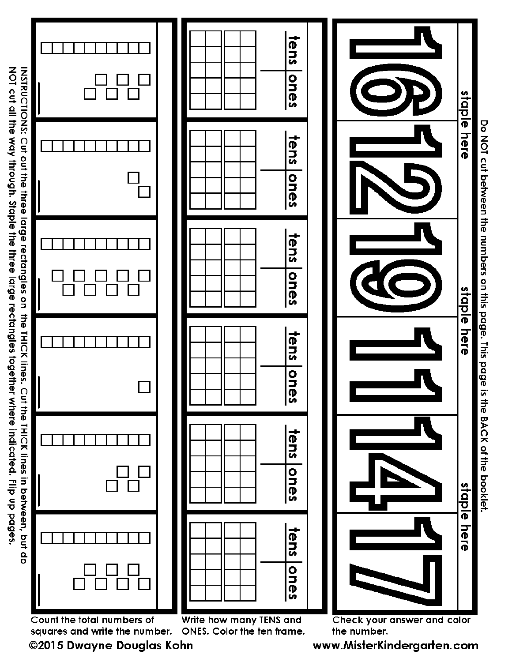INSTRUCTIONS: Cut out the three large rectangles on the THICK lines. Cut the THICK lines in between, but do<br>NOT cut all the way through. Staple the three large rectangles together where indicated. Flip up pages.

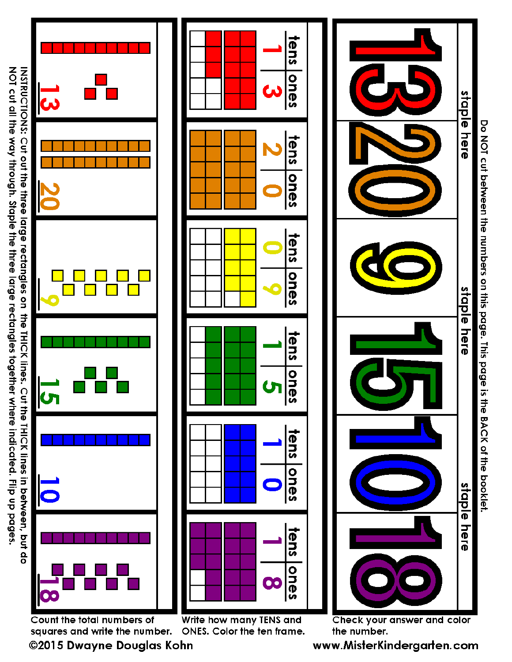NOT cut all the way through. Staple the three large rectangles together where indicated. INSTRUCTIONS: Cut out the three large rectangles on the THICK lines. Cut the THICK lines



Do NOI cut between the numbers on this page. This page is the BACK of the pop-

squares and write the number. ONES. Color the ten frame. ©2015 Dwayne Douglas Kohn

www.MisterKindergarten.com